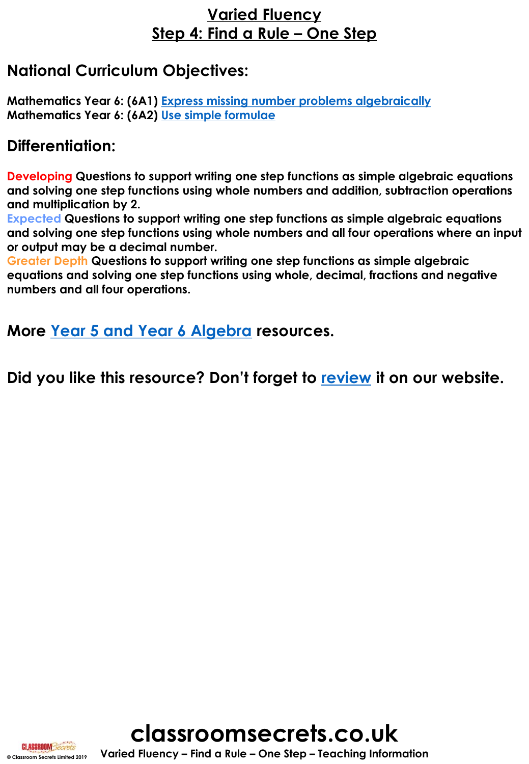## **Varied Fluency Step 4: Find a Rule – One Step**

## **National Curriculum Objectives:**

**Mathematics Year 6: (6A1) [Express missing number problems algebraically](https://classroomsecrets.co.uk/content-domain-filter/?fwp_contentdomain=6a1) Mathematics Year 6: (6A2) [Use simple formulae](https://classroomsecrets.co.uk/content-domain-filter/?fwp_contentdomain=6a2)**

## **Differentiation:**

**Developing Questions to support writing one step functions as simple algebraic equations and solving one step functions using whole numbers and addition, subtraction operations and multiplication by 2.**

**Expected Questions to support writing one step functions as simple algebraic equations and solving one step functions using whole numbers and all four operations where an input or output may be a decimal number.**

**Greater Depth Questions to support writing one step functions as simple algebraic equations and solving one step functions using whole, decimal, fractions and negative numbers and all four operations.**

**More [Year 5 and Year 6 Algebra](https://classroomsecrets.co.uk/category/mixed-age-maths/year-5-6/spring-block-3-algebra-year-5-6/) resources.**

**Did you like this resource? Don't forget to [review](https://classroomsecrets.co.uk/mixed-age-year-5-and-6-algebra-step-4-resource-pack) it on our website.**



**© Classroom Secrets Limited 2019 Varied Fluency – Find a Rule – One Step – Teaching Information**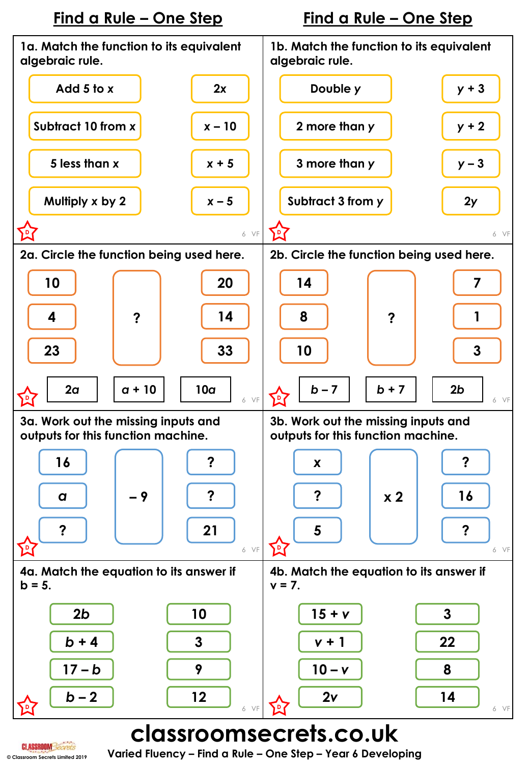

# **classroomsecrets.co.uk**

**© Classroom Secrets Limited 2019 Varied Fluency – Find a Rule – One Step – Year 6 Developing**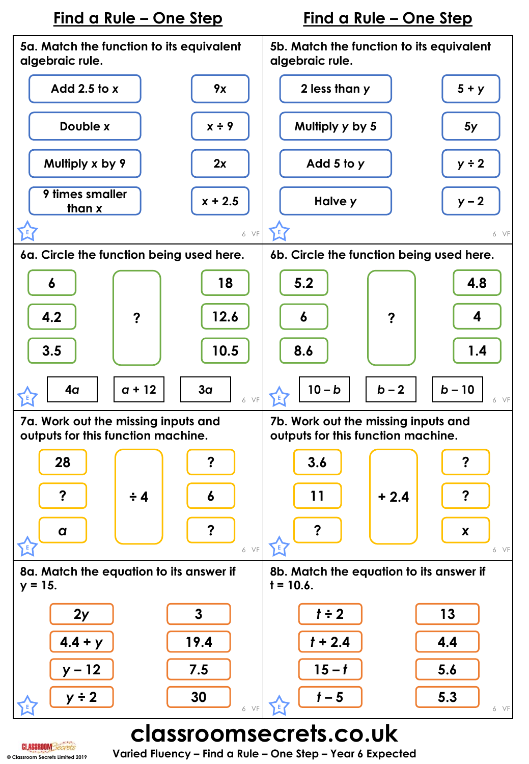## **Find a Rule – One Step Find a Rule – One Step**



# **classroomsecrets.co.uk**

**© Classroom Secrets Limited 2019 Varied Fluency – Find a Rule – One Step – Year 6 Expected**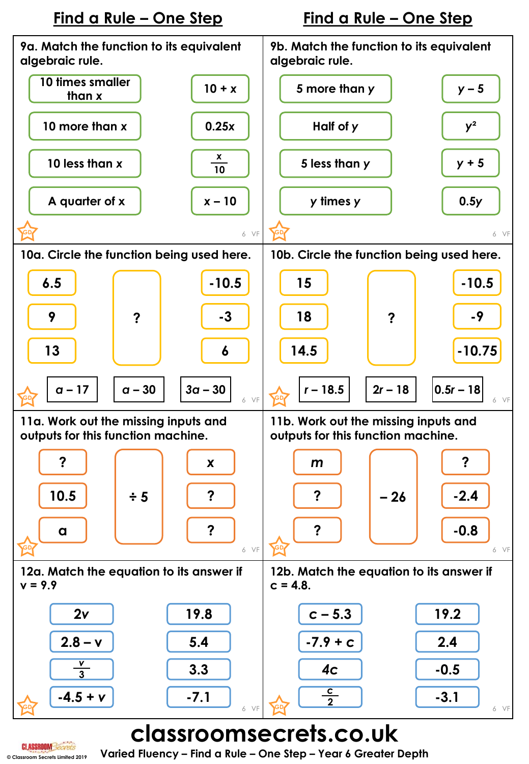



**classroomsecrets.co.uk**

**© Classroom Secrets Limited 2019 Varied Fluency – Find a Rule – One Step – Year 6 Greater Depth**